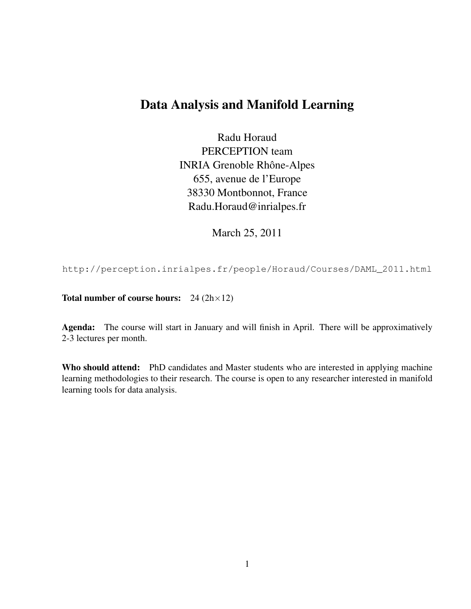## Data Analysis and Manifold Learning

Radu Horaud PERCEPTION team INRIA Grenoble Rhône-Alpes 655, avenue de l'Europe 38330 Montbonnot, France Radu.Horaud@inrialpes.fr

March 25, 2011

http://perception.inrialpes.fr/people/Horaud/Courses/DAML\_2011.html

Total number of course hours:  $24 (2h \times 12)$ 

Agenda: The course will start in January and will finish in April. There will be approximatively 2-3 lectures per month.

Who should attend: PhD candidates and Master students who are interested in applying machine learning methodologies to their research. The course is open to any researcher interested in manifold learning tools for data analysis.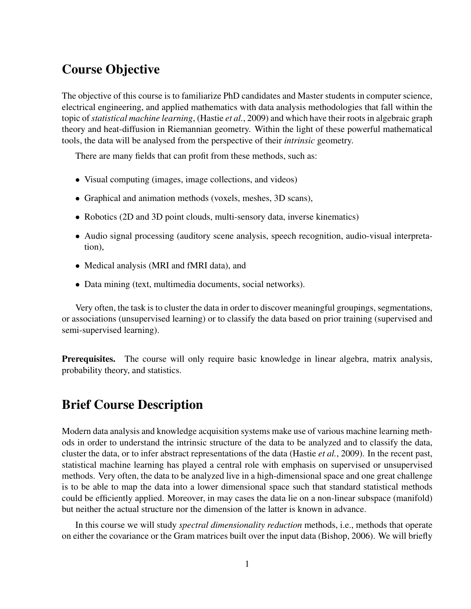## Course Objective

The objective of this course is to familiarize PhD candidates and Master students in computer science, electrical engineering, and applied mathematics with data analysis methodologies that fall within the topic of*statistical machine learning*, (Hastie *et al.*, 2009) and which have their roots in algebraic graph theory and heat-diffusion in Riemannian geometry. Within the light of these powerful mathematical tools, the data will be analysed from the perspective of their *intrinsic* geometry.

There are many fields that can profit from these methods, such as:

- Visual computing (images, image collections, and videos)
- Graphical and animation methods (voxels, meshes, 3D scans),
- Robotics (2D and 3D point clouds, multi-sensory data, inverse kinematics)
- Audio signal processing (auditory scene analysis, speech recognition, audio-visual interpretation),
- Medical analysis (MRI and fMRI data), and
- Data mining (text, multimedia documents, social networks).

Very often, the task is to cluster the data in order to discover meaningful groupings, segmentations, or associations (unsupervised learning) or to classify the data based on prior training (supervised and semi-supervised learning).

**Prerequisites.** The course will only require basic knowledge in linear algebra, matrix analysis, probability theory, and statistics.

### Brief Course Description

Modern data analysis and knowledge acquisition systems make use of various machine learning methods in order to understand the intrinsic structure of the data to be analyzed and to classify the data, cluster the data, or to infer abstract representations of the data (Hastie *et al.*, 2009). In the recent past, statistical machine learning has played a central role with emphasis on supervised or unsupervised methods. Very often, the data to be analyzed live in a high-dimensional space and one great challenge is to be able to map the data into a lower dimensional space such that standard statistical methods could be efficiently applied. Moreover, in may cases the data lie on a non-linear subspace (manifold) but neither the actual structure nor the dimension of the latter is known in advance.

In this course we will study *spectral dimensionality reduction* methods, i.e., methods that operate on either the covariance or the Gram matrices built over the input data (Bishop, 2006). We will briefly